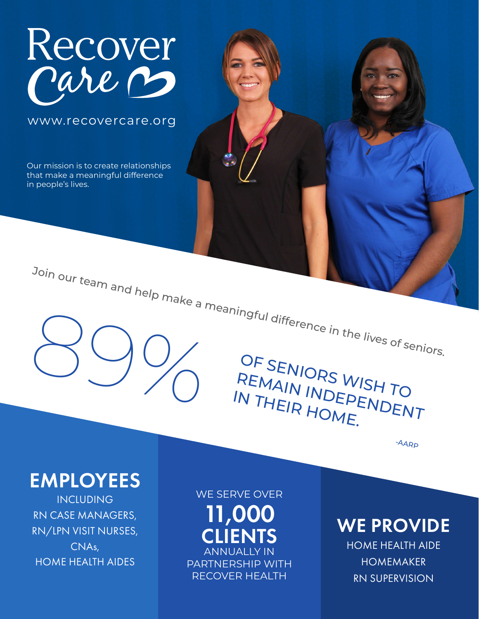

www.recovercare.org

Our mission is to create relationships that make a meaningful difference in people's lives.

SENIORS WISH TO Join our team and help make a meaningful difference in the lives of seniors.

OF SENIORS WISH TO<br>REMAIN INDEPENDENT IN THEIR HOME.

-AARP

## EMPLOYEES

INCLUDING RN CASE MANAGERS, RN/LPN VISIT NURSES, CNAs, HOME HEALTH AIDES

WE SERVE OVER

11,000 **CLIENTS ANNUALLY IN** PARTNERSHIP WITH RECOVER HEALTH

WE PROVIDE HOME HEALTH AIDE

> HOMEMAKER RN SUPERVISION